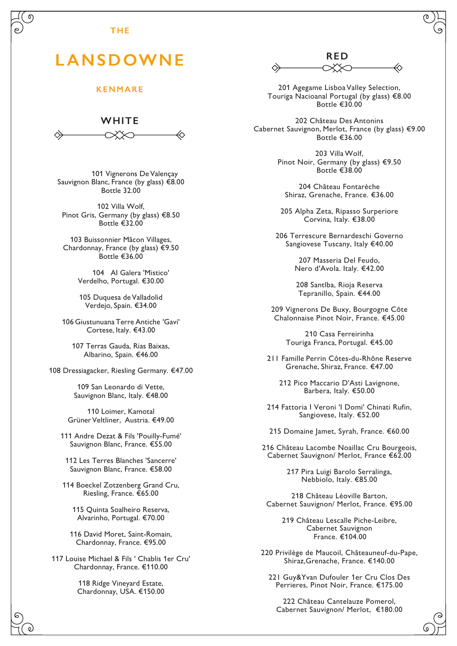## **THE**

## LANSDOWNE

## **KENMARE**

**WHITE**

101 Vignerons De Valençay Sauvignon Blanc, France (by glass) €8.00 Bottle 32.00

102 Villa Wolf, Pinot Gris, Germany (by glass) €8.50 Bottle €32.00

103 Buissonnier Mâcon Villages, Chardonnay, France (by glass) €9.50 Bottle €36.00

> 104 AI Galera 'Mistico' Verdelho, Portugal. €30.00

105 Duquesa de Valladolid Verdejo, Spain. €34.00

106 Giustunuana Terre Antiche 'Gavi' Cortese, Italy. €43.00

107 Terras Gauda, Rias Baixas, Albarino, Spain. €46.00

108 Dressiagacker, Riesling Germany. €47.00

109 San Leonardo di Vette, Sauvignon Blanc, Italy. €48.00

110 Loimer, Kamotal Grüner Veltliner, Austria. €49.00

111 Andre Dezat & Fils 'Pouilly-Fumé' Sauvignon Blanc, France. €55.00

112 Les Terres Blanches 'Sancerre' Sauvignon Blanc, France. €58.00

114 Boeckel Zotzenberg Grand Cru, Riesling, France. €65.00

115 Quinta Soalheiro Reserva, Alvarinho, Portugal. €70.00

116 David Moret, Saint-Romain, Chardonnay, France. €95.00

117 Louise Michael & Fils ' Chablis 1er Cru' Chardonnay, France. €110.00

> 118 Ridge Vineyard Estate, Chardonnay, USA. €150.00

**RED**

201 Agegame Lisboa Valley Selection, Touriga Nacioanal Portugal (by glass) €8.00 Bottle €30.00

202 Château Des Antonins Cabernet Sauvignon, Merlot, France (by glass) €9.00 Bottle €36.00

> 203 Villa Wolf, Pinot Noir, Germany (by glass) €9.50 Bottle €38.00

204 Château Fontarèche Shiraz, Grenache, France. €36.00

205 Alpha Zeta, Ripasso Surperiore Corvina, Italy. €38.00

206 Terrescure Bernardeschi Governo Sangiovese Tuscany, Italy €40.00

> 207 Masseria Del Feudo, Nero d'Avola. Italy. €42.00

208 Santlba, Rioja Reserva Tepranillo, Spain. €44.00

209 Vignerons De Buxy, Bourgogne Côte Chalonnaise Pinot Noir, France. €45.00

210 Casa Ferreirinha Touriga Franca, Portugal. €45.00

211 Famille Perrin Côtes-du-Rhône Reserve Grenache, Shiraz, France. €47.00

212 Pico Maccario D'Asti Lavignone, Barbera, Italy. €50.00

214 Fattoria I Veroni 'I Domi' Chinati Rufin, Sangiovese, Italy. €52.00

215 Domaine Jamet, Syrah, France. €60.00

216 Château Lacombe Noaillac Cru Bourgeois, Cabernet Sauvignon/ Merlot, France €62.00

> 217 Pira Luigi Barolo Serralinga, Nebbiolo, Italy. €85.00

218 Château Léoville Barton, Cabernet Sauvignon/ Merlot, France. €95.00

> 219 Château Lescalle Piche-Leibre, Cabernet Sauvignon France. €104.00

220 Privilège de Maucoil, Châteauneuf-du-Pape, Shiraz,Grenache, France. €140.00

221 Guy&Yvan Dufouler 1er Cru Clos Des Perrieres, Pinot Noir, France. €175.00

222 Château Cantelauze Pomerol, Cabernet Sauvignon/ Merlot, €180.00

(റ